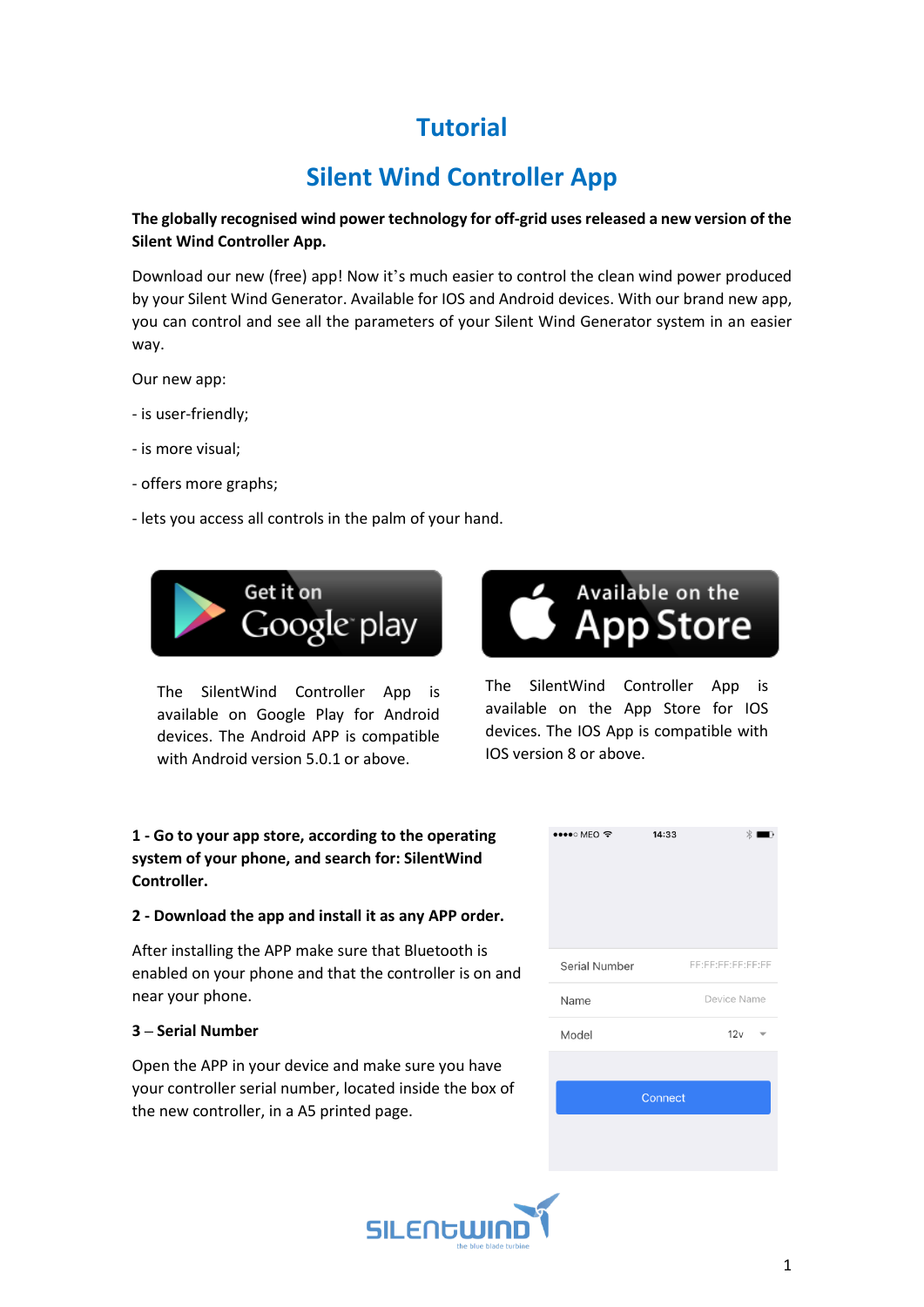# **Tutorial**

# **Silent Wind Controller App**

# **The globally recognised wind power technology for off-grid uses released a new version of the Silent Wind Controller App.**

Download our new (free) app! Now it's much easier to control the clean wind power produced by your Silent Wind Generator. Available for IOS and Android devices. With our brand new app, you can control and see all the parameters of your Silent Wind Generator system in an easier way.

Our new app:

- is user-friendly;
- is more visual;
- offers more graphs;
- lets you access all controls in the palm of your hand.



The SilentWind Controller App is available on Google Play for Android devices. The Android APP is compatible with Android version 5.0.1 or above.

# **1 - Go to your app store, according to the operating system of your phone, and search for: SilentWind Controller.**

### **2 - Download the app and install it as any APP order.**

After installing the APP make sure that Bluetooth is enabled on your phone and that the controller is on and near your phone.

# **3 – Serial Number**

Open the APP in your device and make sure you have your controller serial number, located inside the box of the new controller, in a A5 printed page.



The SilentWind Controller App is available on the App Store for IOS devices. The IOS App is compatible with IOS version 8 or above.

| $\bullet\bullet\bullet\circ\mathsf{MEO}\ \widehat{\mathscr{T}}$ | 14:33 | Ж                 |  |  |  |
|-----------------------------------------------------------------|-------|-------------------|--|--|--|
| Serial Number                                                   |       | FE:FE:FE:FE:FE:FF |  |  |  |
| Name                                                            |       | Device Name       |  |  |  |
| Model                                                           |       | 12v               |  |  |  |
|                                                                 |       |                   |  |  |  |
| Connect                                                         |       |                   |  |  |  |
|                                                                 |       |                   |  |  |  |
|                                                                 |       |                   |  |  |  |

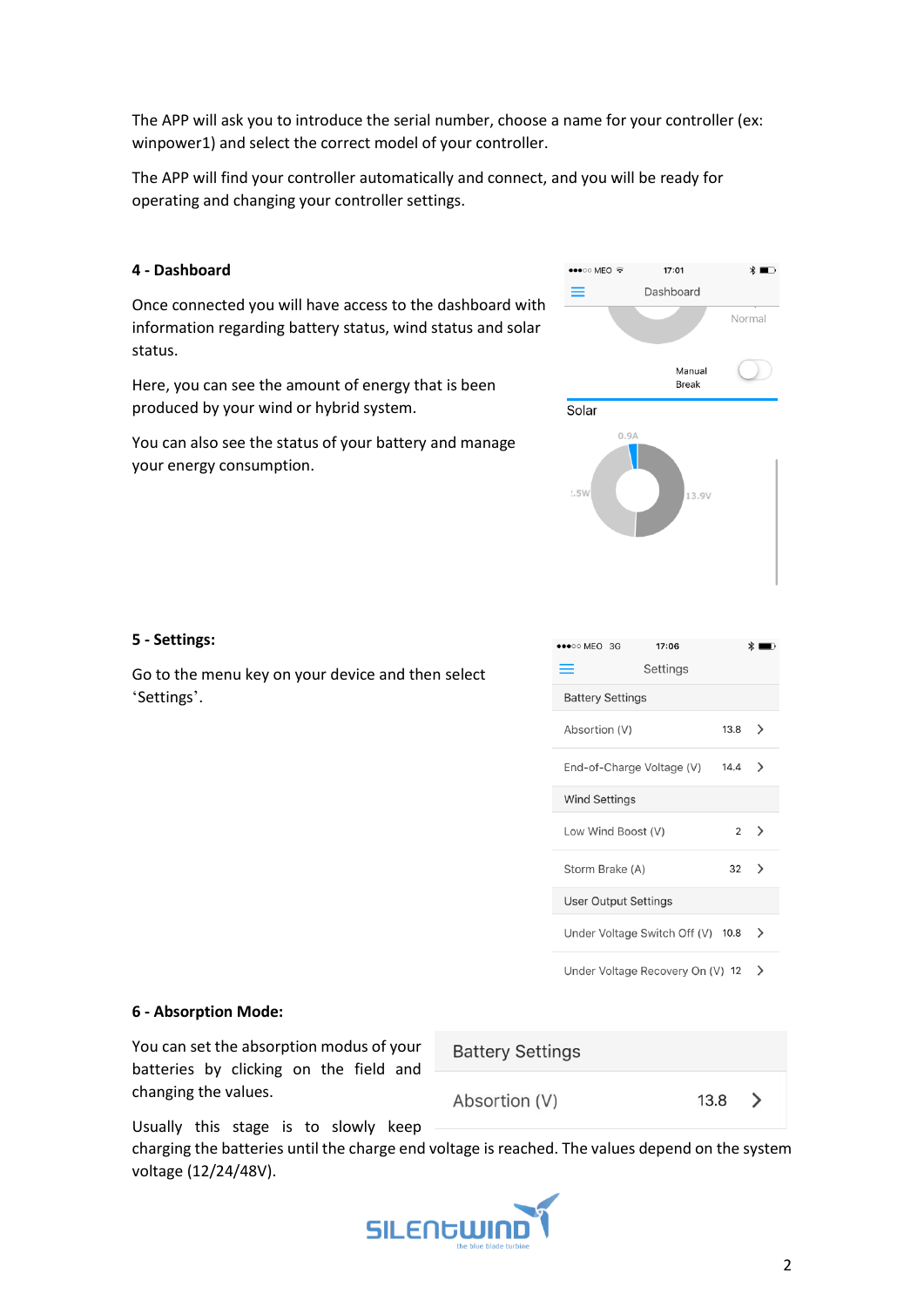The APP will ask you to introduce the serial number, choose a name for your controller (ex: winpower1) and select the correct model of your controller.

The APP will find your controller automatically and connect, and you will be ready for operating and changing your controller settings.

## **4 - Dashboard**

Once connected you will have access to the dashboard with information regarding battery status, wind status and solar status.

Here, you can see the amount of energy that is been produced by your wind or hybrid system.

You can also see the status of your battery and manage your energy consumption.



# **5 - Settings:**

Go to the menu key on your device and then select 'Settings'.

| $\bullet \bullet \bullet \circ \circ \mathsf{MEO}$ 3G<br>17:06<br>Settings<br>= |          | ж ∣              |
|---------------------------------------------------------------------------------|----------|------------------|
| <b>Battery Settings</b>                                                         |          |                  |
| Absortion (V)                                                                   | $13.8$ > |                  |
| End-of-Charge Voltage (V)                                                       | 14.4     | ゝ                |
| <b>Wind Settings</b>                                                            |          |                  |
| Low Wind Boost (V)                                                              |          | $2 \rightarrow$  |
| Storm Brake (A)                                                                 |          | $32 \rightarrow$ |
| User Output Settings                                                            |          |                  |
| Under Voltage Switch Off (V) 10.8                                               |          | ゝ                |

Under Voltage Recovery On (V)  $12$  >

### **6 - Absorption Mode:**

You can set the absorption modus of your batteries by clicking on the field and changing the values.

**Battery Settings** 

Absortion (V)

13.8

 $\left\langle \right\rangle$ 

Usually this stage is to slowly keep

charging the batteries until the charge end voltage is reached. The values depend on the system voltage (12/24/48V).

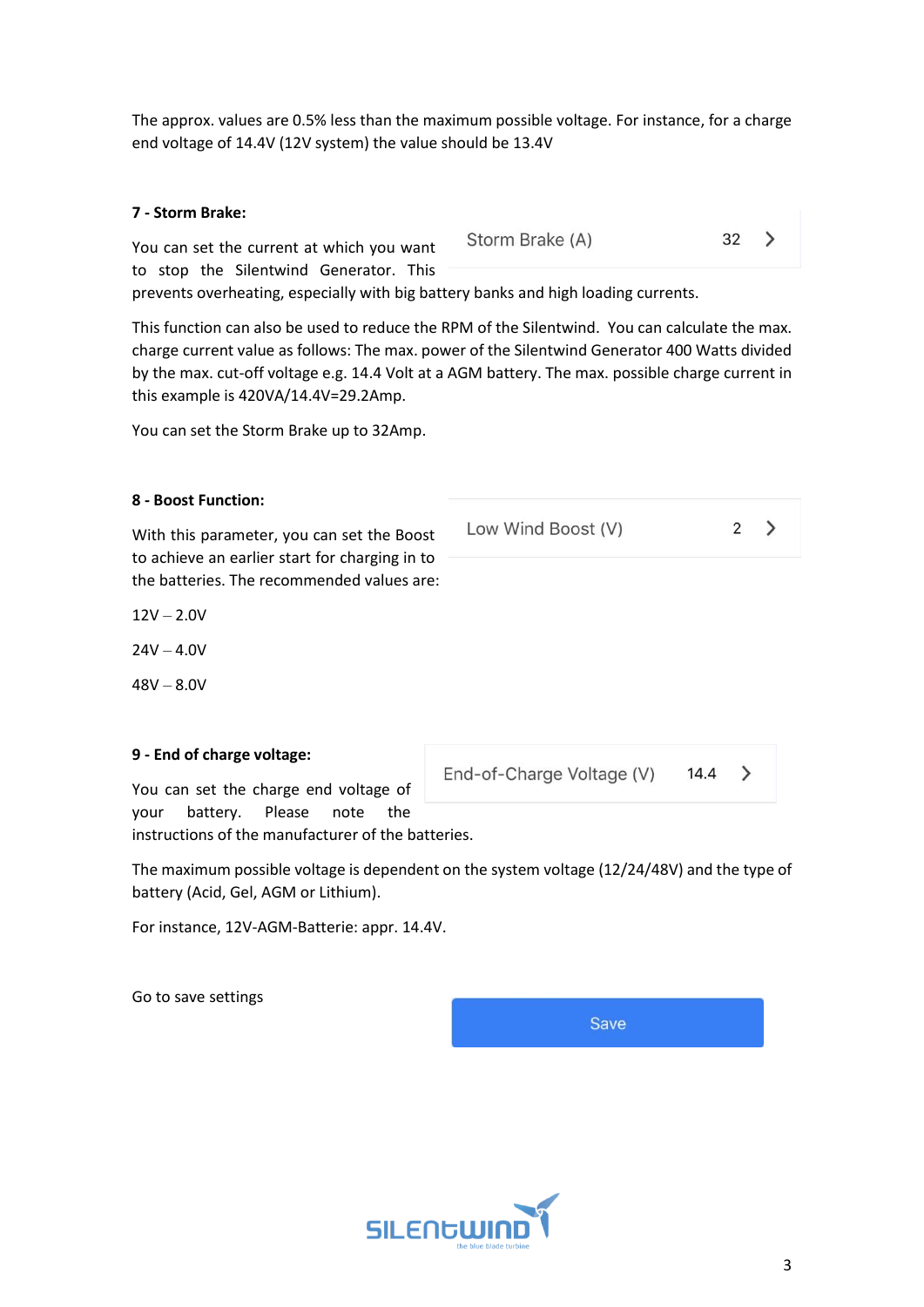The approx. values are 0.5% less than the maximum possible voltage. For instance, for a charge end voltage of 14.4V (12V system) the value should be 13.4V

| 7 - Storm Brake:                          |                 |    |  |
|-------------------------------------------|-----------------|----|--|
| You can set the current at which you want | Storm Brake (A) | 32 |  |
| to stop the Silentwind Generator. This    |                 |    |  |

prevents overheating, especially with big battery banks and high loading currents.

This function can also be used to reduce the RPM of the Silentwind. You can calculate the max. charge current value as follows: The max. power of the Silentwind Generator 400 Watts divided by the max. cut-off voltage e.g. 14.4 Volt at a AGM battery. The max. possible charge current in this example is 420VA/14.4V=29.2Amp.

You can set the Storm Brake up to 32Amp.

## **8 - Boost Function:**

With this parameter, you can set the Boost to achieve an earlier start for charging in to the batteries. The recommended values are:

 $12V - 2.0V$ 

 $24V - 4.0V$ 

 $48V - 8.0V$ 

### **9 - End of charge voltage:**

You can set the charge end voltage of your battery. Please note the instructions of the manufacturer of the batteries.

The maximum possible voltage is dependent on the system voltage (12/24/48V) and the type of battery (Acid, Gel, AGM or Lithium).

For instance, 12V-AGM-Batterie: appr. 14.4V.

Go to save settings

**SILENGWII** 

14.4 End-of-Charge Voltage (V)

**Save** 

Low Wind Boost (V)

 $\mathcal{P}$ 

 $\rightarrow$ 

2